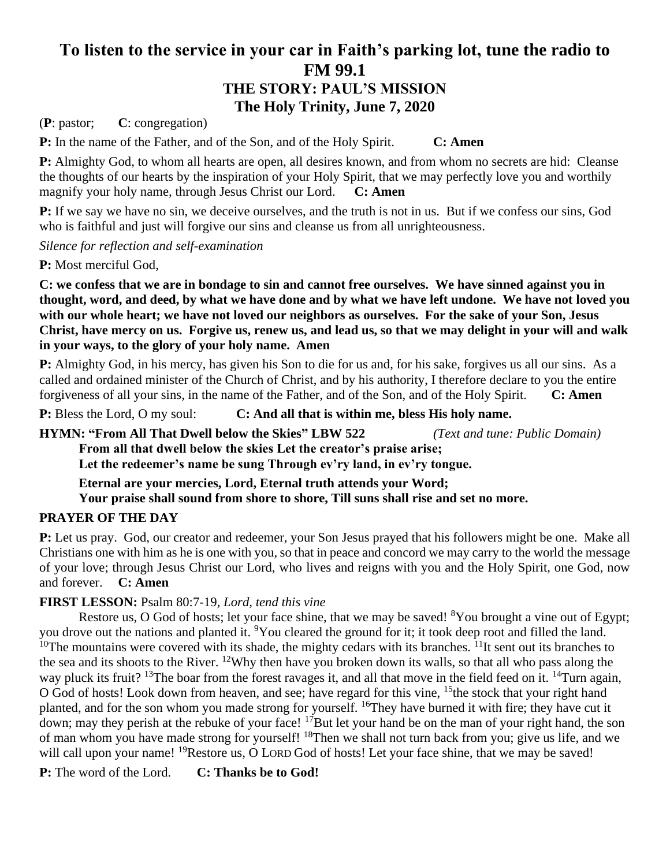# **To listen to the service in your car in Faith's parking lot, tune the radio to FM 99.1 THE STORY: PAUL'S MISSION The Holy Trinity, June 7, 2020**

(**P**: pastor; **C**: congregation)

**P:** In the name of the Father, and of the Son, and of the Holy Spirit. **C: Amen**

**P:** Almighty God, to whom all hearts are open, all desires known, and from whom no secrets are hid: Cleanse the thoughts of our hearts by the inspiration of your Holy Spirit, that we may perfectly love you and worthily magnify your holy name, through Jesus Christ our Lord. **C: Amen**

**P:** If we say we have no sin, we deceive ourselves, and the truth is not in us. But if we confess our sins, God who is faithful and just will forgive our sins and cleanse us from all unrighteousness.

*Silence for reflection and self-examination*

**P:** Most merciful God,

**C: we confess that we are in bondage to sin and cannot free ourselves. We have sinned against you in thought, word, and deed, by what we have done and by what we have left undone. We have not loved you with our whole heart; we have not loved our neighbors as ourselves. For the sake of your Son, Jesus Christ, have mercy on us. Forgive us, renew us, and lead us, so that we may delight in your will and walk in your ways, to the glory of your holy name. Amen**

**P:** Almighty God, in his mercy, has given his Son to die for us and, for his sake, forgives us all our sins. As a called and ordained minister of the Church of Christ, and by his authority, I therefore declare to you the entire forgiveness of all your sins, in the name of the Father, and of the Son, and of the Holy Spirit. **C: Amen**

**P:** Bless the Lord, O my soul: **C: And all that is within me, bless His holy name.**

**HYMN: "From All That Dwell below the Skies" LBW 522** *(Text and tune: Public Domain)* **From all that dwell below the skies Let the creator's praise arise;**

**Let the redeemer's name be sung Through ev'ry land, in ev'ry tongue.**

**Eternal are your mercies, Lord, Eternal truth attends your Word;**

**Your praise shall sound from shore to shore, Till suns shall rise and set no more.**

## **PRAYER OF THE DAY**

**P:** Let us pray. God, our creator and redeemer, your Son Jesus prayed that his followers might be one. Make all Christians one with him as he is one with you, so that in peace and concord we may carry to the world the message of your love; through Jesus Christ our Lord, who lives and reigns with you and the Holy Spirit, one God, now and forever. **C: Amen**

## **FIRST LESSON:** Psalm 80:7-19*, Lord, tend this vine*

Restore us, O God of hosts; let your face shine, that we may be saved!  ${}^{8}$ You brought a vine out of Egypt; you drove out the nations and planted it. <sup>9</sup>You cleared the ground for it; it took deep root and filled the land. <sup>10</sup>The mountains were covered with its shade, the mighty cedars with its branches. <sup>11</sup>It sent out its branches to the sea and its shoots to the River. <sup>12</sup>Why then have you broken down its walls, so that all who pass along the way pluck its fruit? <sup>13</sup>The boar from the forest ravages it, and all that move in the field feed on it. <sup>14</sup>Turn again, O God of hosts! Look down from heaven, and see; have regard for this vine, <sup>15</sup>the stock that your right hand planted, and for the son whom you made strong for yourself. <sup>16</sup>They have burned it with fire; they have cut it down; may they perish at the rebuke of your face!  $17$ But let your hand be on the man of your right hand, the son of man whom you have made strong for yourself! <sup>18</sup>Then we shall not turn back from you; give us life, and we will call upon your name! <sup>19</sup>Restore us, O LORD God of hosts! Let your face shine, that we may be saved!

**P:** The word of the Lord. **C: Thanks be to God!**